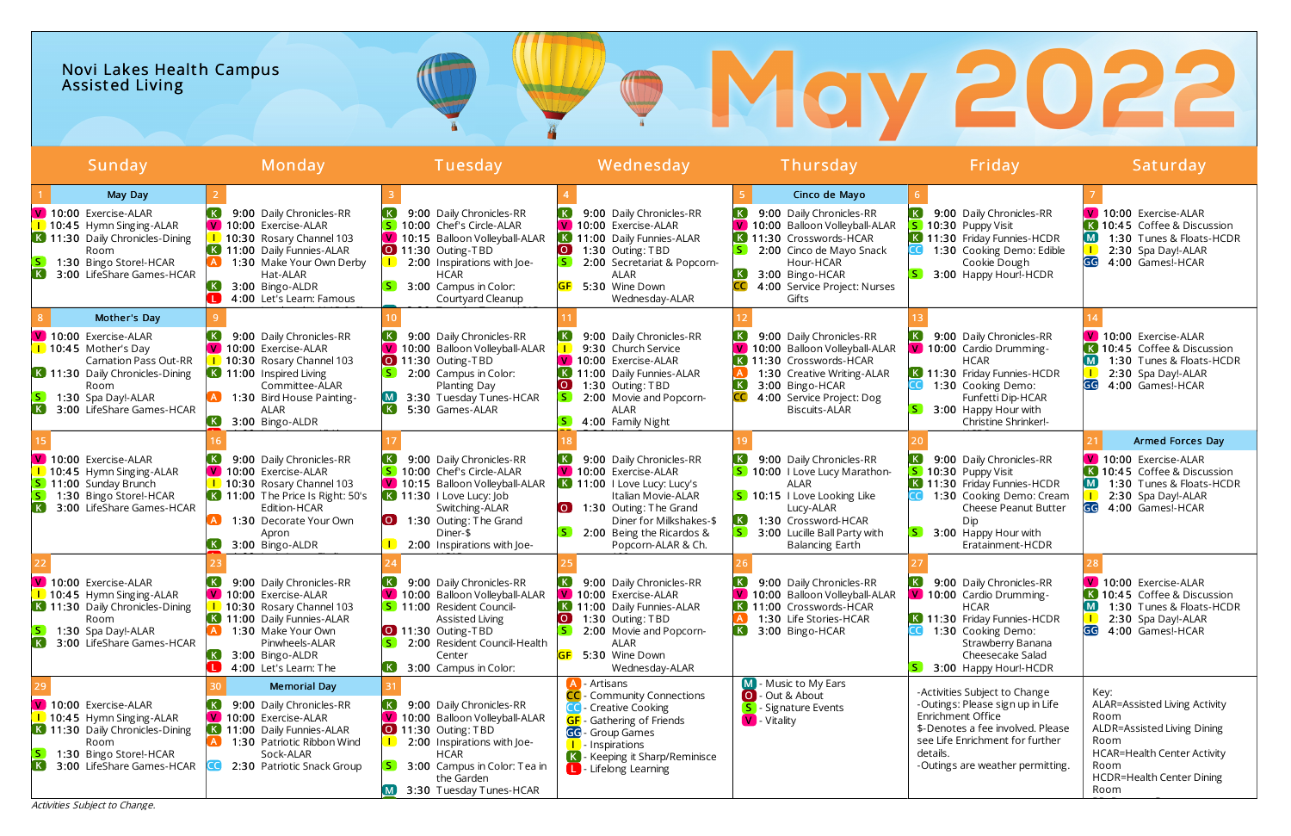# Novi Lakes Health Campus Assist ed Living

Activities Subject to Change.



| Sunday                                                                                                                                                                                                                            | Monday                                                                                                                                                                                                                               | Tuesday                                                                                                                                                                                                                                 | Wednesday                                                                                                                                                                                                                        | Thursday                                                                                                                                                                                                                        | Friday                                                                                                                                                                                                         | Saturday                                                                                                                                                                       |
|-----------------------------------------------------------------------------------------------------------------------------------------------------------------------------------------------------------------------------------|--------------------------------------------------------------------------------------------------------------------------------------------------------------------------------------------------------------------------------------|-----------------------------------------------------------------------------------------------------------------------------------------------------------------------------------------------------------------------------------------|----------------------------------------------------------------------------------------------------------------------------------------------------------------------------------------------------------------------------------|---------------------------------------------------------------------------------------------------------------------------------------------------------------------------------------------------------------------------------|----------------------------------------------------------------------------------------------------------------------------------------------------------------------------------------------------------------|--------------------------------------------------------------------------------------------------------------------------------------------------------------------------------|
| May Day<br>10:00 Exercise-ALAR<br>1 10:45 Hymn Singing-ALAR<br>K 11:30 Daily Chronicles-Dining<br>Room<br>1:30 Bingo Store!-HCAR<br>$\left[\ \mathsf{K}\ \right]$<br>3:00 LifeShare Games-HCAR                                    | 9:00 Daily Chronicles-RR<br>V 10:00 Exercise-ALAR<br>1 10:30 Rosary Channel 103<br>K 11:00 Daily Funnies-ALAR<br>1:30 Make Your Own Derby<br>Hat-ALAR<br>3:00 Bingo-ALDR<br>4:00 Let's Learn: Famous                                 | 9:00 Daily Chronicles-RR<br>10:00 Chef's Circle-ALAR<br>10:15 Balloon Volleyball-ALAR<br>I V I<br>0 11:30 Outing-TBD<br>2:00 Inspirations with Joe-<br><b>HCAR</b><br>3:00 Campus in Color:<br>Courtyard Cleanup                        | 9:00 Daily Chronicles-RR<br>V 10:00 Exercise-ALAR<br>K 11:00 Daily Funnies-ALAR<br>$\overline{O}$<br>1:30 Outing: TBD<br>$S^{\dagger}$<br>2:00 Secretariat & Popcorn-<br>ALAR<br>5:30 Wine Down<br>Wednesday-ALAR                | Cinco de Mayo<br>9:00 Daily Chronicles-RR<br>V 10:00 Balloon Volleyball-ALAR<br>K 11:30 Crosswords-HCAR<br>$\vert S \vert$<br>2:00 Cinco de Mayo Snack<br>Hour-HCAR<br>3:00 Bingo-HCAR<br>4:00 Service Project: Nurses<br>Gifts | 9:00 Daily Chronicles-RR<br>10:30 Puppy Visit<br>K 11:30 Friday Funnies-HCDR<br>1:30 Cooking Demo: Edible<br>Cookie Dough<br>3:00 Happy Hour!-HCDR                                                             | V 10:00 Exercise-ALAR<br>K 10:45 Coffee & Discussion<br>$\mathsf{M}$<br>1:30 Tunes & Floats-HCDR<br>$\mathbf{L}$<br>2:30 Spa Day!-ALAR<br>GG<br>4:00 Games!-HCAR               |
| Mother's Day<br>V 10:00 Exercise-ALAR<br>$\blacksquare$ 10:45 Mother's Day<br><b>Carnation Pass Out-RR</b><br>K 11:30 Daily Chronicles-Dining<br>Room<br>1:30 Spa Day!-ALAR<br>$\lfloor$ K $\rfloor$<br>3:00 LifeShare Games-HCAR | 9:00 Daily Chronicles-RR<br>V 10:00 Exercise-ALAR<br>10:30 Rosary Channel 103<br>K 11:00 Inspired Living<br>Committee-ALAR<br>1:30 Bird House Painting-<br>ALAR<br>$\left( \mathbf{K}\right)$<br>3:00 Bingo-ALDR                     | 9:00 Daily Chronicles-RR<br>10:00 Balloon Volleyball-ALAR<br>$\bigcirc$ 11:30 Outing-TBD<br>2:00 Campus in Color:<br>Planting Day<br>3:30 Tuesday Tunes-HCAR<br>$\left[\begin{array}{c} \text{K} \end{array}\right]$<br>5:30 Games-ALAR | 9:00 Daily Chronicles-RR<br>9:30 Church Service<br>V 10:00 Exercise-ALAR<br>K 11:00 Daily Funnies-ALAR<br>$\overline{\mathbf{o}}$<br>1:30 Outing: TBD<br>2:00 Movie and Popcorn-<br>ALAR<br>4:00 Family Night                    | 9:00 Daily Chronicles-RR<br>V 10:00 Balloon Volleyball-ALAR<br>K 11:30 Crosswords-HCAR<br>1:30 Creative Writing-ALAR<br>$\lfloor \mathbf{K} \rfloor$<br>3:00 Bingo-HCAR<br>4:00 Service Project: Dog<br><b>Biscuits-ALAR</b>    | 9:00 Daily Chronicles-RR<br>V 10:00 Cardio Drumming-<br><b>HCAR</b><br>K 11:30 Friday Funnies-HCDR<br>1:30 Cooking Demo:<br>Funfetti Dip-HCAR<br>3:00 Happy Hour with<br>Christine Shrinker!-                  | V 10:00 Exercise-ALAR<br>K 10:45 Coffee & Discussion<br>M<br>1:30 Tunes & Floats-HCDR<br>2:30 Spa Day!-ALAR<br>GG<br>4:00 Games!-HCAR                                          |
| V 10:00 Exercise-ALAR<br>1 10:45 Hymn Singing-ALAR<br>S 11:00 Sunday Brunch<br>S.<br>1:30 Bingo Store!-HCAR<br>$\left( \mathbf{K}\right)$<br>3:00 LifeShare Games-HCAR                                                            | 9:00 Daily Chronicles-RR<br>V 10:00 Exercise-ALAR<br>1 10:30 Rosary Channel 103<br>$\overline{K}$ 11:00 The Price Is Right: 50's<br>Edition-HCAR<br>1:30 Decorate Your Own<br>Apron<br>3:00 Bingo-ALDR<br>$\left( \mathbf{K}\right)$ | 9:00 Daily Chronicles-RR<br>10:00 Chef's Circle-ALAR<br>V 10:15 Balloon Volleyball-ALAR<br>$\overline{K}$ 11:30 I Love Lucy: Job<br>Switching-ALAR<br>1:30 Outing: The Grand<br>LO J<br>Diner-\$<br>2:00 Inspirations with Joe-         | 9:00 Daily Chronicles-RR<br>V 10:00 Exercise-ALAR<br>$\overline{K}$ 11:00 I Love Lucy: Lucy's<br>Italian Movie-ALAR<br>1:30 Outing: The Grand<br>Diner for Milkshakes-\$<br>2:00 Being the Ricardos &<br>Popcorn-ALAR & Ch.      | 9:00 Daily Chronicles-RR<br>S 10:00   Love Lucy Marathon-<br>ALAR<br><b>S</b> 10:15 I Love Looking Like<br>Lucy-ALAR<br>1:30 Crossword-HCAR<br>3:00 Lucille Ball Party with<br><b>Balancing Earth</b>                           | 9:00 Daily Chronicles-RR<br>10:30 Puppy Visit<br>K 11:30 Friday Funnies-HCDR<br>1:30 Cooking Demo: Cream<br>Cheese Peanut Butter<br>Dip.<br>3:00 Happy Hour with<br>Eratainment-HCDR                           | Armed Forces Day<br>V 10:00 Exercise-ALAR<br>K 10:45 Coffee & Discussion<br>M<br>1:30 Tunes & Floats-HCDR<br>2:30 Spa Day!-ALAR<br>GG<br>4:00 Games!-HCAR                      |
| V 10:00 Exercise-ALAR<br>1 10:45 Hymn Singing-ALAR<br>K 11:30 Daily Chronicles-Dining<br>Room<br>1:30 Spa Day!-ALAR<br>S.<br>3:00 LifeShare Games-HCAR                                                                            | 9:00 Daily Chronicles-RR<br>V 10:00 Exercise-ALAR<br>1 10:30 Rosary Channel 103<br>K 11:00 Daily Funnies-ALAR<br>1:30 Make Your Own<br>Pinwheels-ALAR<br>$\left( \mathbf{K}\right)$<br>3:00 Bingo-ALDR                               | 9:00 Daily Chronicles-RR<br>V 10:00 Balloon Volleyball-ALAR<br>S 11:00 Resident Council-<br><b>Assisted Living</b><br>0 11:30 Outing-TBD<br>2:00 Resident Council-Health<br>Center<br>3:00 Campus in Color:                             | 9:00 Daily Chronicles-RR<br>V 10:00 Exercise-ALAR<br>K 11:00 Daily Funnies-ALAR<br>$\overline{\mathsf{O}}$<br>1:30 Outing: TBD<br>2:00 Movie and Popcorn-<br><b>ALAR</b><br><b>GF</b><br>5:30 Wine Down<br>Wednesday-ALAR        | 9:00 Daily Chronicles-RR<br>V 10:00 Balloon Volleyball-ALAR<br>K 11:00 Crosswords-HCAR<br>1:30 Life Stories-HCAR<br>$\left( \mathbf{K}\right)$<br>3:00 Bingo-HCAR                                                               | 9:00 Daily Chronicles-RR<br>V 10:00 Cardio Drumming-<br><b>HCAR</b><br>K 11:30 Friday Funnies-HCDR<br>1:30 Cooking Demo:<br>Strawberry Banana<br>Cheesecake Salad<br>3:00 Happy Hour!-HCDR                     | V 10:00 Exercise-ALAR<br>K 10:45 Coffee & Discussion<br>$\overline{\mathsf{M}}$<br>1:30 Tunes & Floats-HCDR<br>2:30 Spa Day!-ALAR<br>4:00 Games!-HCAR<br>GG                    |
| V 10:00 Exercise-ALAR<br>1 10:45 Hymn Singing-ALAR<br>K 11:30 Daily Chronicles-Dining<br>Room<br>$\vert S \vert$<br>1:30 Bingo Store!-HCAR<br><b>K</b> 3:00 LifeShare Games-HCAR<br>Activities Subject to Change.                 | <b>Memorial Day</b><br>9:00 Daily Chronicles-RR<br>V 10:00 Exercise-ALAR<br>K 11:00 Daily Funnies-ALAR<br>1:30 Patriotic Ribbon Wind<br>Sock-ALAR<br>2:30 Patriotic Snack Group                                                      | 9:00 Daily Chronicles-RR<br>V 10:00 Balloon Volleyball-ALAR<br><b>0</b> 11:30 Outing: TBD<br>2:00 Inspirations with Joe-<br>HCAR<br>3:00 Campus in Color: Tea in<br>the Garden<br>3:30 Tuesday Tunes-HCAR                               | - Artisans<br><b>CC</b> - Community Connections<br><b>CO</b> - Creative Cooking<br><b>GF</b> - Gathering of Friends<br>GG - Group Games<br><b>I</b> Inspirations<br>K - Keeping it Sharp/Reminisce<br><b>L</b> Lifelong Learning | M - Music to My Ears<br>O - Out & About<br>- Signature Events<br>V - Vitality                                                                                                                                                   | -Activities Subject to Change<br>-Outings: Please sign up in Life<br>Enrichment Office<br>\$-Denotes a fee involved. Please<br>see Life Enrichment for further<br>details.<br>-Outings are weather permitting. | Key:<br>ALAR=Assisted Living Activity<br>Room<br>ALDR=Assisted Living Dining<br>Room<br><b>HCAR=Health Center Activity</b><br>Room<br><b>HCDR=Health Center Dining</b><br>Room |